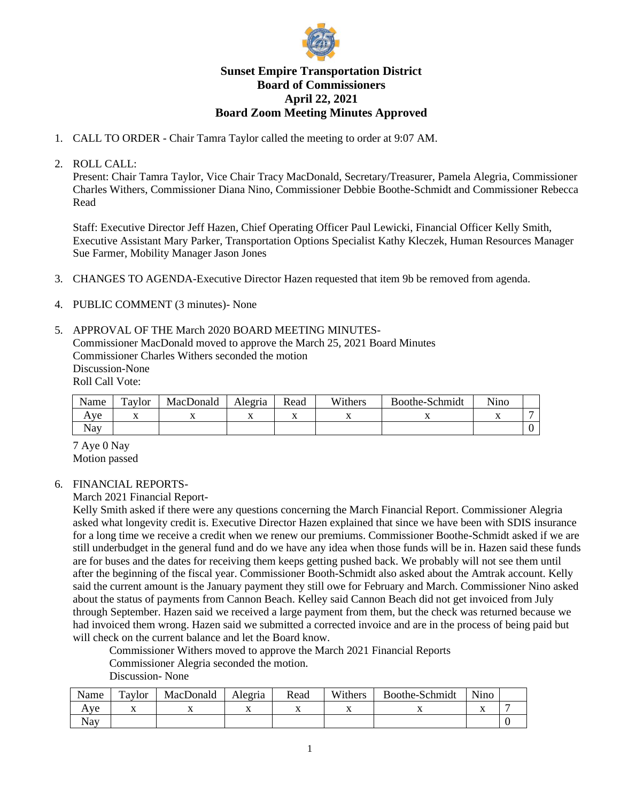

# **Sunset Empire Transportation District Board of Commissioners April 22, 2021 Board Zoom Meeting Minutes Approved**

- 1. CALL TO ORDER Chair Tamra Taylor called the meeting to order at 9:07 AM.
- 2. ROLL CALL:

Present: Chair Tamra Taylor, Vice Chair Tracy MacDonald, Secretary/Treasurer, Pamela Alegria, Commissioner Charles Withers, Commissioner Diana Nino, Commissioner Debbie Boothe-Schmidt and Commissioner Rebecca Read

Staff: Executive Director Jeff Hazen, Chief Operating Officer Paul Lewicki, Financial Officer Kelly Smith, Executive Assistant Mary Parker, Transportation Options Specialist Kathy Kleczek, Human Resources Manager Sue Farmer, Mobility Manager Jason Jones

- 3. CHANGES TO AGENDA-Executive Director Hazen requested that item 9b be removed from agenda.
- 4. PUBLIC COMMENT (3 minutes)- None
- 5. APPROVAL OF THE March 2020 BOARD MEETING MINUTES-Commissioner MacDonald moved to approve the March 25, 2021 Board Minutes Commissioner Charles Withers seconded the motion Discussion-None Roll Call Vote:

| Name | Taylor | MacDonald | Alegria | Read | Withers | Boothe-Schmidt | Nino |  |
|------|--------|-----------|---------|------|---------|----------------|------|--|
| Ave  | 77     |           |         |      | . .     |                |      |  |
| Nav  |        |           |         |      |         |                |      |  |

7 Aye 0 Nay Motion passed

## 6. FINANCIAL REPORTS-

March 2021 Financial Report-

Kelly Smith asked if there were any questions concerning the March Financial Report. Commissioner Alegria asked what longevity credit is. Executive Director Hazen explained that since we have been with SDIS insurance for a long time we receive a credit when we renew our premiums. Commissioner Boothe-Schmidt asked if we are still underbudget in the general fund and do we have any idea when those funds will be in. Hazen said these funds are for buses and the dates for receiving them keeps getting pushed back. We probably will not see them until after the beginning of the fiscal year. Commissioner Booth-Schmidt also asked about the Amtrak account. Kelly said the current amount is the January payment they still owe for February and March. Commissioner Nino asked about the status of payments from Cannon Beach. Kelley said Cannon Beach did not get invoiced from July through September. Hazen said we received a large payment from them, but the check was returned because we had invoiced them wrong. Hazen said we submitted a corrected invoice and are in the process of being paid but will check on the current balance and let the Board know.

Commissioner Withers moved to approve the March 2021 Financial Reports Commissioner Alegria seconded the motion.

Discussion- None

| Name | Taylor | MacDonald | Alegria | Read | Withers | Boothe-Schmidt | Nino |  |
|------|--------|-----------|---------|------|---------|----------------|------|--|
| Ave  |        |           | ∡⊾      |      |         |                | ∡⊾   |  |
| Nav  |        |           |         |      |         |                |      |  |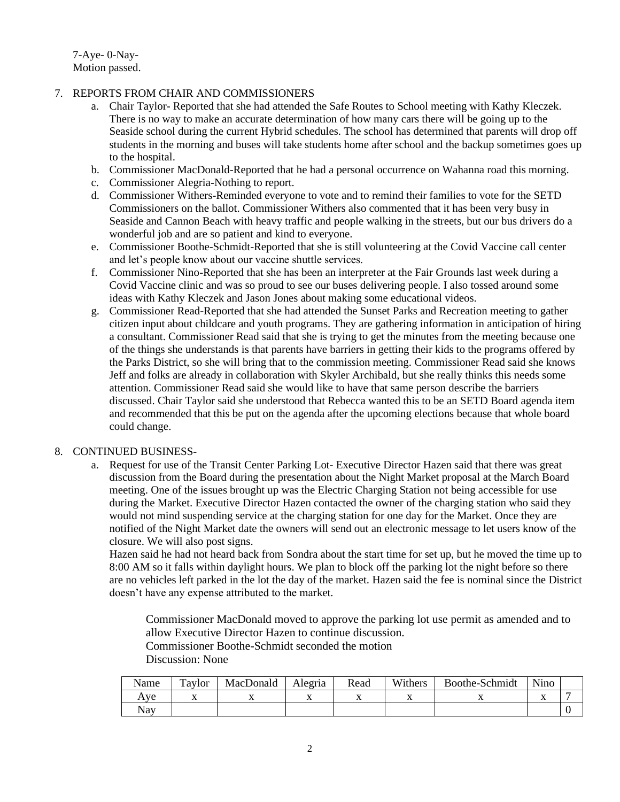7-Aye- 0-Nay-Motion passed.

### 7. REPORTS FROM CHAIR AND COMMISSIONERS

- a. Chair Taylor- Reported that she had attended the Safe Routes to School meeting with Kathy Kleczek. There is no way to make an accurate determination of how many cars there will be going up to the Seaside school during the current Hybrid schedules. The school has determined that parents will drop off students in the morning and buses will take students home after school and the backup sometimes goes up to the hospital.
- b. Commissioner MacDonald-Reported that he had a personal occurrence on Wahanna road this morning.
- c. Commissioner Alegria-Nothing to report.
- d. Commissioner Withers-Reminded everyone to vote and to remind their families to vote for the SETD Commissioners on the ballot. Commissioner Withers also commented that it has been very busy in Seaside and Cannon Beach with heavy traffic and people walking in the streets, but our bus drivers do a wonderful job and are so patient and kind to everyone.
- e. Commissioner Boothe-Schmidt-Reported that she is still volunteering at the Covid Vaccine call center and let's people know about our vaccine shuttle services.
- f. Commissioner Nino-Reported that she has been an interpreter at the Fair Grounds last week during a Covid Vaccine clinic and was so proud to see our buses delivering people. I also tossed around some ideas with Kathy Kleczek and Jason Jones about making some educational videos.
- g. Commissioner Read-Reported that she had attended the Sunset Parks and Recreation meeting to gather citizen input about childcare and youth programs. They are gathering information in anticipation of hiring a consultant. Commissioner Read said that she is trying to get the minutes from the meeting because one of the things she understands is that parents have barriers in getting their kids to the programs offered by the Parks District, so she will bring that to the commission meeting. Commissioner Read said she knows Jeff and folks are already in collaboration with Skyler Archibald, but she really thinks this needs some attention. Commissioner Read said she would like to have that same person describe the barriers discussed. Chair Taylor said she understood that Rebecca wanted this to be an SETD Board agenda item and recommended that this be put on the agenda after the upcoming elections because that whole board could change.

#### 8. CONTINUED BUSINESS-

a. Request for use of the Transit Center Parking Lot- Executive Director Hazen said that there was great discussion from the Board during the presentation about the Night Market proposal at the March Board meeting. One of the issues brought up was the Electric Charging Station not being accessible for use during the Market. Executive Director Hazen contacted the owner of the charging station who said they would not mind suspending service at the charging station for one day for the Market. Once they are notified of the Night Market date the owners will send out an electronic message to let users know of the closure. We will also post signs.

Hazen said he had not heard back from Sondra about the start time for set up, but he moved the time up to 8:00 AM so it falls within daylight hours. We plan to block off the parking lot the night before so there are no vehicles left parked in the lot the day of the market. Hazen said the fee is nominal since the District doesn't have any expense attributed to the market.

Commissioner MacDonald moved to approve the parking lot use permit as amended and to allow Executive Director Hazen to continue discussion.

Commissioner Boothe-Schmidt seconded the motion

Discussion: None

| Name | Taylor | MacDonald | Alegria        | Read           | Withers | Boothe-Schmidt | Nino           |  |
|------|--------|-----------|----------------|----------------|---------|----------------|----------------|--|
| Ave  | ∡⊾     | ∡⊾        | $\overline{ }$ | $\overline{ }$ |         |                | $\overline{ }$ |  |
| Nay  |        |           |                |                |         |                |                |  |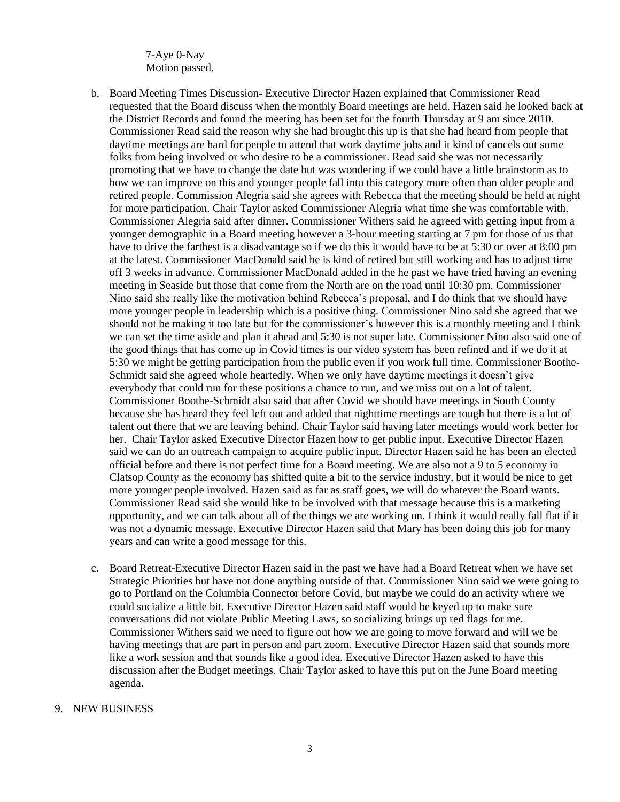7-Aye 0-Nay Motion passed.

- b. Board Meeting Times Discussion- Executive Director Hazen explained that Commissioner Read requested that the Board discuss when the monthly Board meetings are held. Hazen said he looked back at the District Records and found the meeting has been set for the fourth Thursday at 9 am since 2010. Commissioner Read said the reason why she had brought this up is that she had heard from people that daytime meetings are hard for people to attend that work daytime jobs and it kind of cancels out some folks from being involved or who desire to be a commissioner. Read said she was not necessarily promoting that we have to change the date but was wondering if we could have a little brainstorm as to how we can improve on this and younger people fall into this category more often than older people and retired people. Commission Alegria said she agrees with Rebecca that the meeting should be held at night for more participation. Chair Taylor asked Commissioner Alegria what time she was comfortable with. Commissioner Alegria said after dinner. Commissioner Withers said he agreed with getting input from a younger demographic in a Board meeting however a 3-hour meeting starting at 7 pm for those of us that have to drive the farthest is a disadvantage so if we do this it would have to be at 5:30 or over at 8:00 pm at the latest. Commissioner MacDonald said he is kind of retired but still working and has to adjust time off 3 weeks in advance. Commissioner MacDonald added in the he past we have tried having an evening meeting in Seaside but those that come from the North are on the road until 10:30 pm. Commissioner Nino said she really like the motivation behind Rebecca's proposal, and I do think that we should have more younger people in leadership which is a positive thing. Commissioner Nino said she agreed that we should not be making it too late but for the commissioner's however this is a monthly meeting and I think we can set the time aside and plan it ahead and 5:30 is not super late. Commissioner Nino also said one of the good things that has come up in Covid times is our video system has been refined and if we do it at 5:30 we might be getting participation from the public even if you work full time. Commissioner Boothe-Schmidt said she agreed whole heartedly. When we only have daytime meetings it doesn't give everybody that could run for these positions a chance to run, and we miss out on a lot of talent. Commissioner Boothe-Schmidt also said that after Covid we should have meetings in South County because she has heard they feel left out and added that nighttime meetings are tough but there is a lot of talent out there that we are leaving behind. Chair Taylor said having later meetings would work better for her. Chair Taylor asked Executive Director Hazen how to get public input. Executive Director Hazen said we can do an outreach campaign to acquire public input. Director Hazen said he has been an elected official before and there is not perfect time for a Board meeting. We are also not a 9 to 5 economy in Clatsop County as the economy has shifted quite a bit to the service industry, but it would be nice to get more younger people involved. Hazen said as far as staff goes, we will do whatever the Board wants. Commissioner Read said she would like to be involved with that message because this is a marketing opportunity, and we can talk about all of the things we are working on. I think it would really fall flat if it was not a dynamic message. Executive Director Hazen said that Mary has been doing this job for many years and can write a good message for this.
- c. Board Retreat-Executive Director Hazen said in the past we have had a Board Retreat when we have set Strategic Priorities but have not done anything outside of that. Commissioner Nino said we were going to go to Portland on the Columbia Connector before Covid, but maybe we could do an activity where we could socialize a little bit. Executive Director Hazen said staff would be keyed up to make sure conversations did not violate Public Meeting Laws, so socializing brings up red flags for me. Commissioner Withers said we need to figure out how we are going to move forward and will we be having meetings that are part in person and part zoom. Executive Director Hazen said that sounds more like a work session and that sounds like a good idea. Executive Director Hazen asked to have this discussion after the Budget meetings. Chair Taylor asked to have this put on the June Board meeting agenda.

#### 9. NEW BUSINESS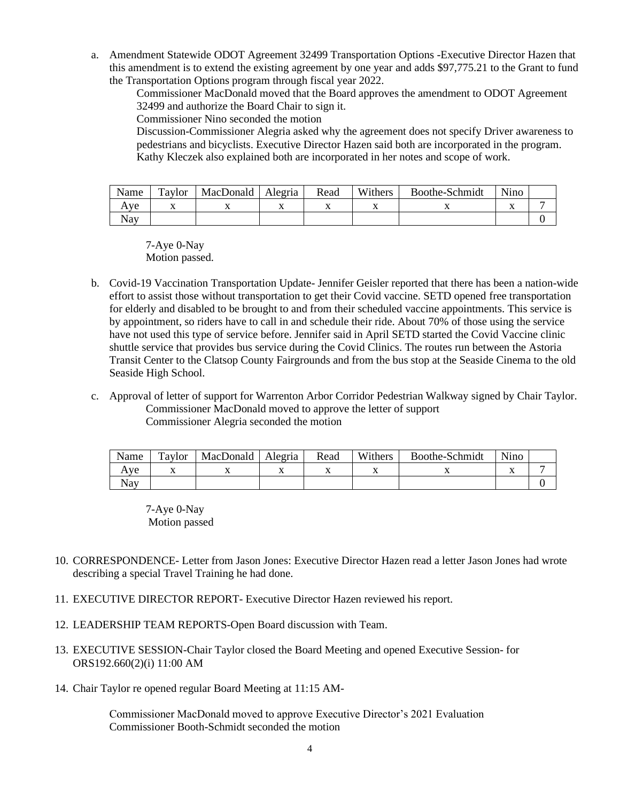a. Amendment Statewide ODOT Agreement 32499 Transportation Options -Executive Director Hazen that this amendment is to extend the existing agreement by one year and adds \$97,775.21 to the Grant to fund the Transportation Options program through fiscal year 2022.

Commissioner MacDonald moved that the Board approves the amendment to ODOT Agreement 32499 and authorize the Board Chair to sign it.

Commissioner Nino seconded the motion

Discussion-Commissioner Alegria asked why the agreement does not specify Driver awareness to pedestrians and bicyclists. Executive Director Hazen said both are incorporated in the program. Kathy Kleczek also explained both are incorporated in her notes and scope of work.

| Name | Taylor         | MacDonald | Alegria | Read | Withers        | Boothe-Schmidt | Nino           |  |
|------|----------------|-----------|---------|------|----------------|----------------|----------------|--|
| Aye  | $\overline{ }$ |           |         |      | $\overline{ }$ |                | $\overline{ }$ |  |
| Nav  |                |           |         |      |                |                |                |  |

7-Aye 0-Nay Motion passed.

- b. Covid-19 Vaccination Transportation Update- Jennifer Geisler reported that there has been a nation-wide effort to assist those without transportation to get their Covid vaccine. SETD opened free transportation for elderly and disabled to be brought to and from their scheduled vaccine appointments. This service is by appointment, so riders have to call in and schedule their ride. About 70% of those using the service have not used this type of service before. Jennifer said in April SETD started the Covid Vaccine clinic shuttle service that provides bus service during the Covid Clinics. The routes run between the Astoria Transit Center to the Clatsop County Fairgrounds and from the bus stop at the Seaside Cinema to the old Seaside High School.
- c. Approval of letter of support for Warrenton Arbor Corridor Pedestrian Walkway signed by Chair Taylor. Commissioner MacDonald moved to approve the letter of support Commissioner Alegria seconded the motion

| Name       | $\tau_{\text{avlor}}$ | MacDonald | Alegria | Read | Withers | Boothe-Schmidt | Nino      |  |
|------------|-----------------------|-----------|---------|------|---------|----------------|-----------|--|
| ve<br>А    |                       |           |         |      |         |                | $\Lambda$ |  |
| <b>Nay</b> |                       |           |         |      |         |                |           |  |

7-Aye 0-Nay Motion passed

- 10. CORRESPONDENCE- Letter from Jason Jones: Executive Director Hazen read a letter Jason Jones had wrote describing a special Travel Training he had done.
- 11. EXECUTIVE DIRECTOR REPORT- Executive Director Hazen reviewed his report.
- 12. LEADERSHIP TEAM REPORTS-Open Board discussion with Team.
- 13. EXECUTIVE SESSION-Chair Taylor closed the Board Meeting and opened Executive Session- for ORS192.660(2)(i) 11:00 AM
- 14. Chair Taylor re opened regular Board Meeting at 11:15 AM-

Commissioner MacDonald moved to approve Executive Director's 2021 Evaluation Commissioner Booth-Schmidt seconded the motion